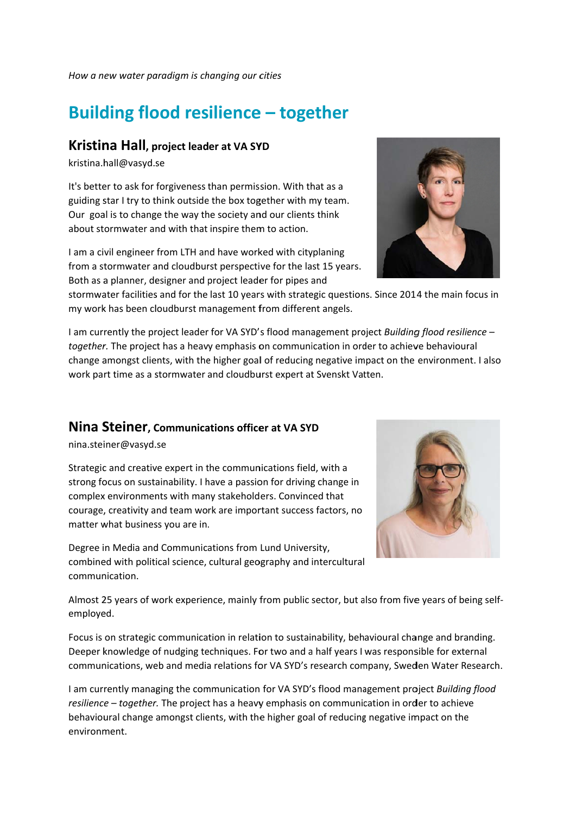*How a n ew water pa aradigm is ch hanging our c cities*

## **Building flood resilience - together**

## **Kristina Hall, project leader at VA SYD**

kristina.h hall@vasyd.s se

It's better to ask for forgiveness than permission. With that as a guiding star I try to think outside the box together with my team. Our goal is to change the way the society and our clients think about stormwater and with that inspire them to action.

I am a civil engineer from LTH and have worked with cityplaning from a stormwater and cloudburst perspective for the last 15 years. Both as a planner, designer and project leader for pipes and

stormwater facilities and for the last 10 years with strategic questions. Since 2014 the main focus in my work has been cloudburst management from different angels.

I am currently the project leader for VA SYD's flood management project *Building flood resilience* together. The project has a heavy emphasis on communication in order to achieve behavioural change amongst clients, with the higher goal of reducing negative impact on the environment. I also work part time as a stormwater and cloudburst expert at Svenskt Vatten.

## **Nina Steiner, Communications officer at VA SYD**

nina.steiner@vasyd.se

Strategic and creative expert in the communications field, with a strong focus on sustainability. I have a passion for driving change in complex environments with many stakeholders. Convinced that courage, creativity and team work are important success factors, no matter what business you are in.

Degree in Media and Communications from Lund University, combined with political science, cultural geography and intercultural communication.

Almost 25 years of work experience, mainly from public sector, but also from five years of being selfemployed.

Focus is on strategic communication in relation to sustainability, behavioural change and branding. Deeper knowledge of nudging techniques. For two and a half years I was responsible for external communications, web and media relations for VA SYD's research company, Sweden Water Research.

I am currently managing the communication for VA SYD's flood management project Building flood resilience – together. The project has a heavy emphasis on communication in order to achieve behavioural change amongst clients, with the higher goal of reducing negative impact on the environm ment.



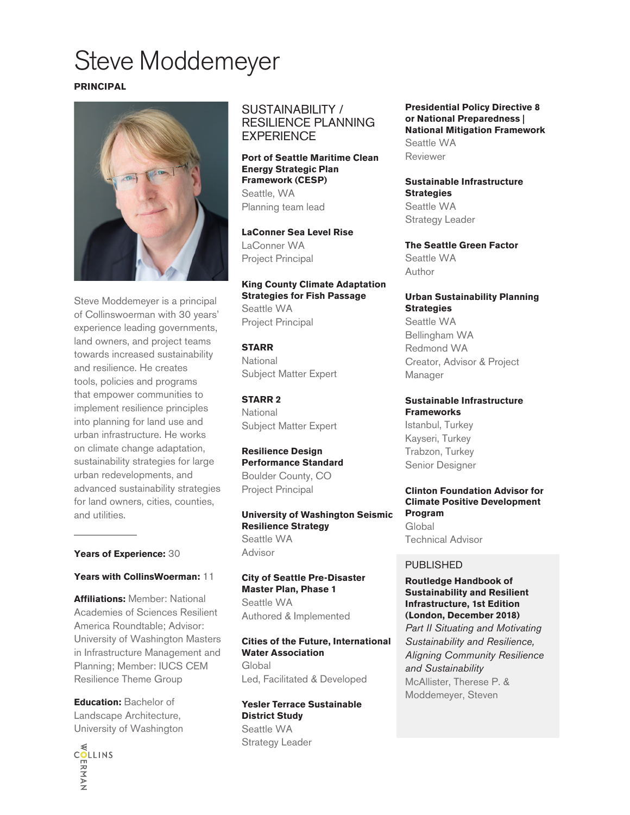# Steve Moddemeyer

#### **PRINCIPAL**



Steve Moddemeyer is a principal of Collinswoerman with 30 years' experience leading governments, land owners, and project teams towards increased sustainability and resilience. He creates tools, policies and programs that empower communities to implement resilience principles into planning for land use and urban infrastructure. He works on climate change adaptation, sustainability strategies for large urban redevelopments, and advanced sustainability strategies for land owners, cities, counties, and utilities.

#### **Years of Experience:** 30

#### **Years with CollinsWoerman:** 11

**Affiliations:** Member: National Academies of Sciences Resilient America Roundtable; Advisor: University of Washington Masters in Infrastructure Management and Planning; Member: IUCS CEM Resilience Theme Group

**Education:** Bachelor of Landscape Architecture, University of Washington



#### SUSTAINABILITY / RESILIENCE PLANNING **EXPERIENCE**

#### **Port of Seattle Maritime Clean Energy Strategic Plan Framework (CESP)** Seattle, WA Planning team lead

**LaConner Sea Level Rise** LaConner WA Project Principal

#### **King County Climate Adaptation Strategies for Fish Passage**

Seattle WA Project Principal

#### **STARR** National Subject Matter Expert

**STARR 2** National Subject Matter Expert

**Resilience Design Performance Standard** Boulder County, CO Project Principal

**University of Washington Seismic Resilience Strategy** Seattle WA Advisor

**City of Seattle Pre-Disaster Master Plan, Phase 1** Seattle WA Authored & Implemented

**Cities of the Future, International Water Association** Global Led, Facilitated & Developed

#### **Yesler Terrace Sustainable District Study** Seattle WA Strategy Leader

**Presidential Policy Directive 8 or National Preparedness | National Mitigation Framework** Seattle WA Reviewer

**Sustainable Infrastructure Strategies** Seattle WA Strategy Leader

**The Seattle Green Factor** Seattle WA Author

**Urban Sustainability Planning Strategies** Seattle WA Bellingham WA Redmond WA Creator, Advisor & Project Manager

**Sustainable Infrastructure Frameworks**  Istanbul, Turkey Kayseri, Turkey Trabzon, Turkey Senior Designer

#### **Clinton Foundation Advisor for Climate Positive Development Program Global** Technical Advisor

#### PUBLISHED

**Routledge Handbook of Sustainability and Resilient Infrastructure, 1st Edition (London, December 2018)** *Part II Situating and Motivating Sustainability and Resilience, Aligning Community Resilience and Sustainability* McAllister, Therese P. & Moddemeyer, Steven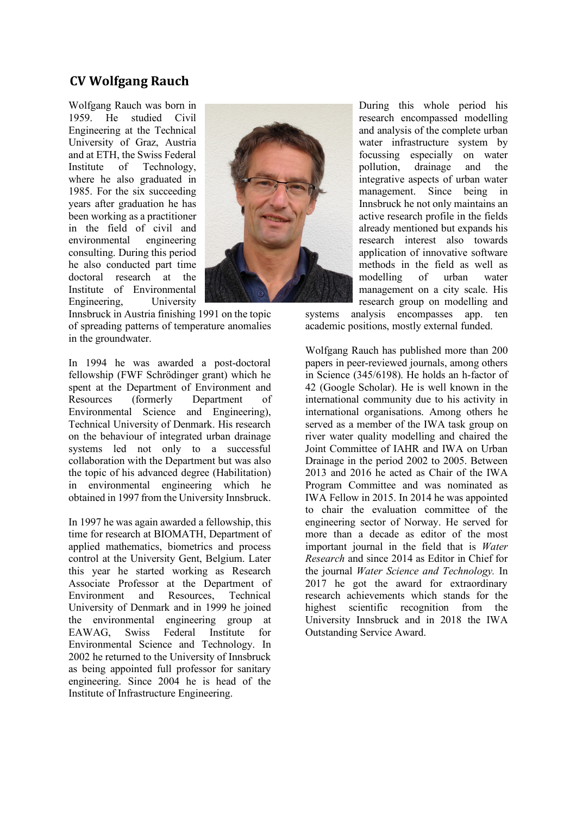### **CV Wolfgang Rauch**

Wolfgang Rauch was born in 1959. He studied Civil Engineering at the Technical University of Graz, Austria and at ETH, the Swiss Federal Institute of Technology, where he also graduated in 1985. For the six succeeding years after graduation he has been working as a practitioner in the field of civil and environmental engineering consulting. During this period he also conducted part time doctoral research at the Institute of Environmental Engineering, University



Innsbruck in Austria finishing 1991 on the topic of spreading patterns of temperature anomalies in the groundwater.

In 1994 he was awarded a post-doctoral fellowship (FWF Schrödinger grant) which he spent at the Department of Environment and Resources (formerly Department of Environmental Science and Engineering), Technical University of Denmark. His research on the behaviour of integrated urban drainage systems led not only to a successful collaboration with the Department but was also the topic of his advanced degree (Habilitation) in environmental engineering which he obtained in 1997 from the University Innsbruck.

In 1997 he was again awarded a fellowship, this time for research at BIOMATH, Department of applied mathematics, biometrics and process control at the University Gent, Belgium. Later this year he started working as Research Associate Professor at the Department of Environment and Resources, Technical University of Denmark and in 1999 he joined the environmental engineering group at EAWAG, Swiss Federal Institute for Environmental Science and Technology. In 2002 he returned to the University of Innsbruck as being appointed full professor for sanitary engineering. Since 2004 he is head of the Institute of Infrastructure Engineering.

During this whole period his research encompassed modelling and analysis of the complete urban water infrastructure system by focussing especially on water pollution, drainage and the integrative aspects of urban water management. Since being in Innsbruck he not only maintains an active research profile in the fields already mentioned but expands his research interest also towards application of innovative software methods in the field as well as modelling of urban water management on a city scale. His research group on modelling and

systems analysis encompasses app. ten academic positions, mostly external funded.

Wolfgang Rauch has published more than 200 papers in peer-reviewed journals, among others in Science (345/6198). He holds an h-factor of 42 (Google Scholar). He is well known in the international community due to his activity in international organisations. Among others he served as a member of the IWA task group on river water quality modelling and chaired the Joint Committee of IAHR and IWA on Urban Drainage in the period 2002 to 2005. Between 2013 and 2016 he acted as Chair of the IWA Program Committee and was nominated as IWA Fellow in 2015. In 2014 he was appointed to chair the evaluation committee of the engineering sector of Norway. He served for more than a decade as editor of the most important journal in the field that is *Water Research* and since 2014 as Editor in Chief for the journal *Water Science and Technology.* In 2017 he got the award for extraordinary research achievements which stands for the highest scientific recognition from the University Innsbruck and in 2018 the IWA Outstanding Service Award.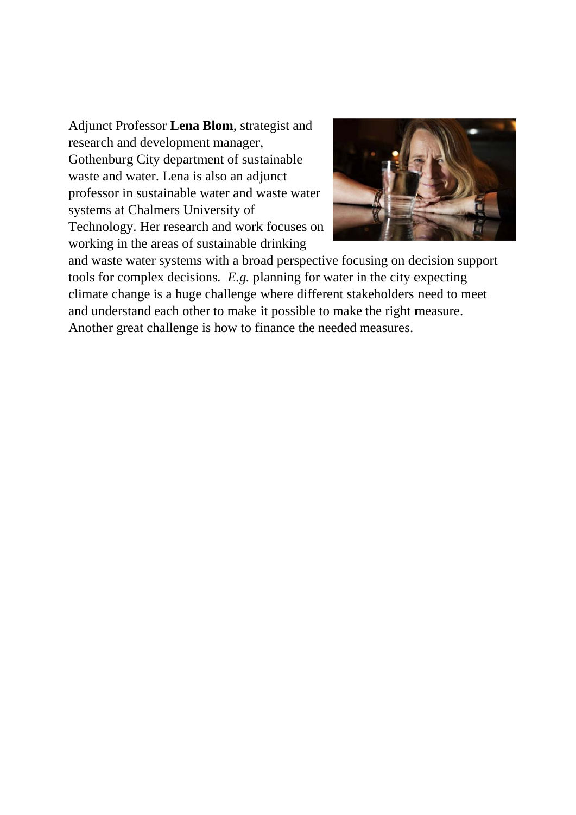Adjunct Professor Lena Blom, strategist and research and development manager, Gothenburg City department of sustainable waste and water. Lena is also an adjunct professor in sustainable water and waste water systems at Chalmers University of Technology. Her research and work focuses on working in the areas of sustainable drinking



and waste water systems with a broad perspective focusing on decision support tools for complex decisions. E.g. planning for water in the city expecting climate change is a huge challenge where different stakeholders need to meet and understand each other to make it possible to make the right measure. Another great challenge is how to finance the needed measures.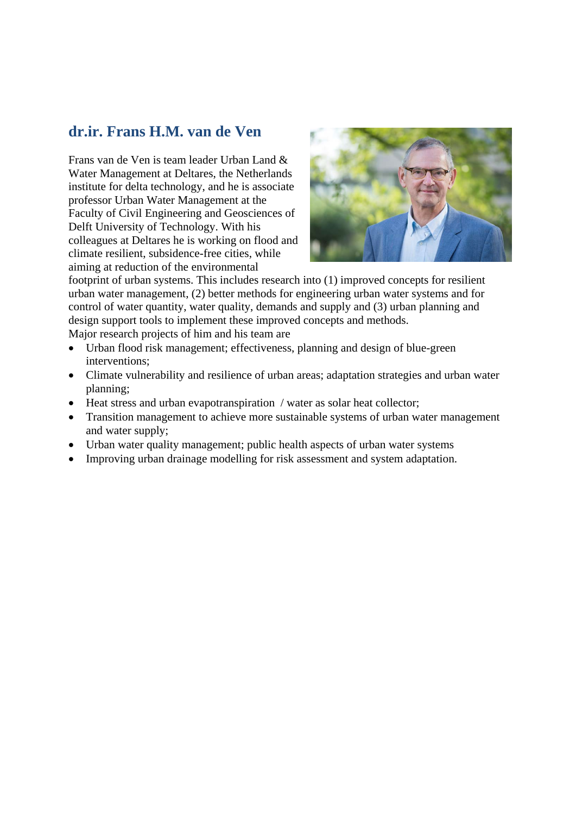## **dr.ir. Frans H.M. van de Ven**

Frans van de Ven is team leader Urban Land & Water Management at Deltares, the Netherlands institute for delta technology, and he is associate professor Urban Water Management at the Faculty of Civil Engineering and Geosciences of Delft University of Technology. With his colleagues at Deltares he is working on flood and climate resilient, subsidence-free cities, while aiming at reduction of the environmental



footprint of urban systems. This includes research into (1) improved concepts for resilient urban water management, (2) better methods for engineering urban water systems and for control of water quantity, water quality, demands and supply and (3) urban planning and design support tools to implement these improved concepts and methods. Major research projects of him and his team are

- Urban flood risk management; effectiveness, planning and design of blue-green interventions;
- Climate vulnerability and resilience of urban areas; adaptation strategies and urban water planning;
- Heat stress and urban evapotranspiration / water as solar heat collector;
- Transition management to achieve more sustainable systems of urban water management and water supply;
- Urban water quality management; public health aspects of urban water systems
- Improving urban drainage modelling for risk assessment and system adaptation.